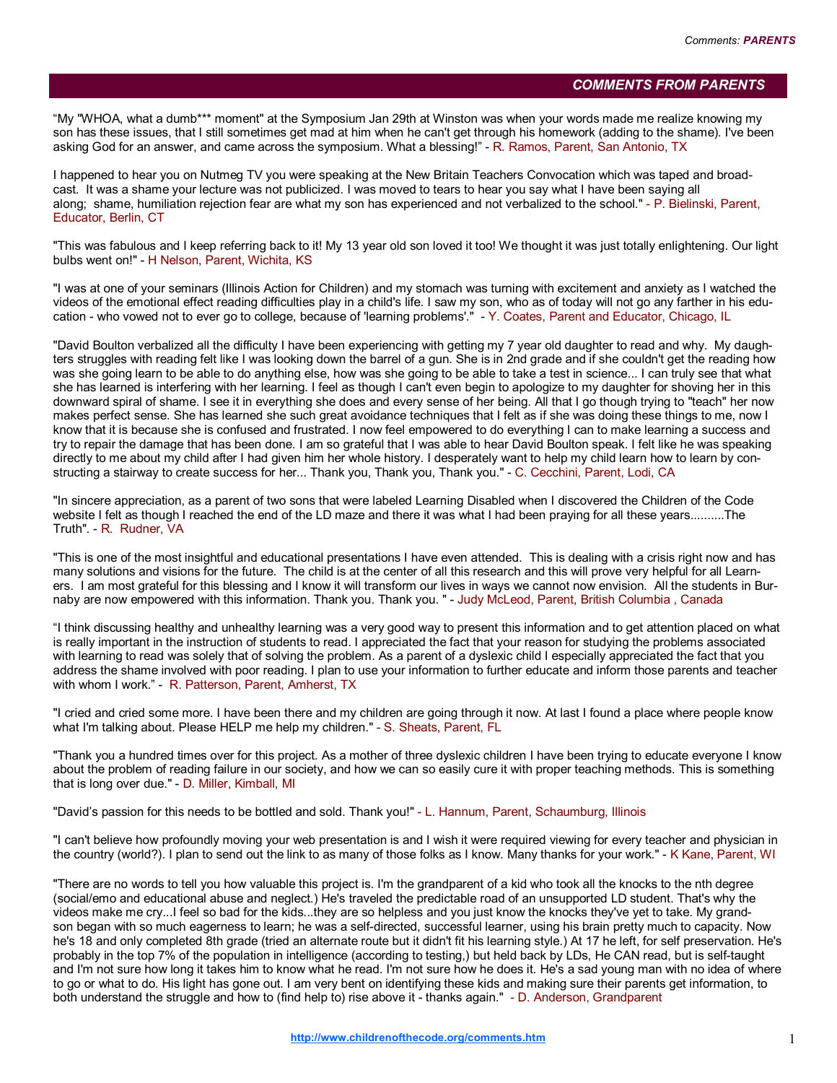## COMMENTS FROM PARENTS

"My "WHOA, what a dumb\*\*\* moment" at the Symposium Jan 29th at Winston was when your words made me realize knowing my son has these issues, that I still sometimes get mad at him when he can't get through his homework (adding to the shame). I've been asking God for an answer, and came across the symposium. What a blessing!" - R. Ramos, Parent, San Antonio, TX

I happened to hear you on Nutmeg TV you were speaking at the New Britain Teachers Convocation which was taped and broadcast. It was a shame your lecture was not publicized. I was moved to tears to hear you say what I have been saying all along; shame, humiliation rejection fear are what my son has experienced and not verbalized to the school." - P. Bielinski, Parent, Educator, Berlin, CT

"This was fabulous and I keep referring back to it! My 13 year old son loved it too! We thought it was just totally enlightening. Our light bulbs went on!" - H Nelson, Parent, Wichita, KS

"I was at one of your seminars (Illinois Action for Children) and my stomach was turning with excitement and anxiety as I watched the videos of the emotional effect reading difficulties play in a child's life. I saw my son, who as of today will not go any farther in his education - who vowed not to ever go to college, because of 'learning problems'." - Y. Coates, Parent and Educator, Chicago, IL

"David Boulton verbalized all the difficulty I have been experiencing with getting my 7 year old daughter to read and why. My daughters struggles with reading felt like I was looking down the barrel of a gun. She is in 2nd grade and if she couldn't get the reading how was she going learn to be able to do anything else, how was she going to be able to take a test in science... I can truly see that what she has learned is interfering with her learning. I feel as though I can't even begin to apologize to my daughter for shoving her in this downward spiral of shame. I see it in everything she does and every sense of her being. All that I go though trying to "teach" her now makes perfect sense. She has learned she such great avoidance techniques that I felt as if she was doing these things to me, now I know that it is because she is confused and frustrated. I now feel empowered to do everything I can to make learning a success and try to repair the damage that has been done. I am so grateful that I was able to hear David Boulton speak. I felt like he was speaking directly to me about my child after I had given him her whole history. I desperately want to help my child learn how to learn by constructing a stairway to create success for her... Thank you, Thank you, Thank you." - C. Cecchini, Parent, Lodi, CA

"In sincere appreciation, as a parent of two sons that were labeled Learning Disabled when I discovered the Children of the Code website I felt as though I reached the end of the LD maze and there it was what I had been praying for all these years..........The Truth". - R. Rudner, VA

"This is one of the most insightful and educational presentations I have even attended. This is dealing with a crisis right now and has many solutions and visions for the future. The child is at the center of all this research and this will prove very helpful for all Learners. I am most grateful for this blessing and I know it will transform our lives in ways we cannot now envision. All the students in Burnaby are now empowered with this information. Thank you. Thank you. " - Judy McLeod, Parent, British Columbia , Canada

"I think discussing healthy and unhealthy learning was a very good way to present this information and to get attention placed on what is really important in the instruction of students to read. I appreciated the fact that your reason for studying the problems associated with learning to read was solely that of solving the problem. As a parent of a dyslexic child I especially appreciated the fact that you address the shame involved with poor reading. I plan to use your information to further educate and inform those parents and teacher with whom I work." - R. Patterson, Parent, Amherst, TX

"I cried and cried some more. I have been there and my children are going through it now. At last I found a place where people know what I'm talking about. Please HELP me help my children." - S. Sheats, Parent, FL

"Thank you a hundred times over for this project. As a mother of three dyslexic children I have been trying to educate everyone I know about the problem of reading failure in our society, and how we can so easily cure it with proper teaching methods. This is something that is long over due." - D. Miller, Kimball, MI

"David's passion for this needs to be bottled and sold. Thank you!" - L. Hannum, Parent, Schaumburg, Illinois

"I can't believe how profoundly moving your web presentation is and I wish it were required viewing for every teacher and physician in the country (world?). I plan to send out the link to as many of those folks as I know. Many thanks for your work." - K Kane, Parent, WI

"There are no words to tell you how valuable this project is. I'm the grandparent of a kid who took all the knocks to the nth degree (social/emo and educational abuse and neglect.) He's traveled the predictable road of an unsupported LD student. That's why the videos make me cry...I feel so bad for the kids...they are so helpless and you just know the knocks they've yet to take. My grandson began with so much eagerness to learn; he was a self-directed, successful learner, using his brain pretty much to capacity. Now he's 18 and only completed 8th grade (tried an alternate route but it didn't fit his learning style.) At 17 he left, for self preservation. He's probably in the top 7% of the population in intelligence (according to testing,) but held back by LDs, He CAN read, but is self-taught and I'm not sure how long it takes him to know what he read. I'm not sure how he does it. He's a sad young man with no idea of where to go or what to do. His light has gone out. I am very bent on identifying these kids and making sure their parents get information, to both understand the struggle and how to (find help to) rise above it - thanks again." - D. Anderson, Grandparent